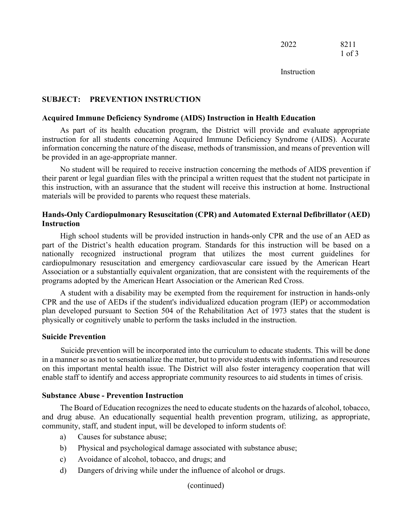**Instruction** 

# **SUBJECT: PREVENTION INSTRUCTION**

#### **Acquired Immune Deficiency Syndrome (AIDS) Instruction in Health Education**

As part of its health education program, the District will provide and evaluate appropriate instruction for all students concerning Acquired Immune Deficiency Syndrome (AIDS). Accurate information concerning the nature of the disease, methods of transmission, and means of prevention will be provided in an age-appropriate manner.

No student will be required to receive instruction concerning the methods of AIDS prevention if their parent or legal guardian files with the principal a written request that the student not participate in this instruction, with an assurance that the student will receive this instruction at home. Instructional materials will be provided to parents who request these materials.

# **Hands-Only Cardiopulmonary Resuscitation (CPR) and Automated External Defibrillator (AED) Instruction**

High school students will be provided instruction in hands-only CPR and the use of an AED as part of the District's health education program. Standards for this instruction will be based on a nationally recognized instructional program that utilizes the most current guidelines for cardiopulmonary resuscitation and emergency cardiovascular care issued by the American Heart Association or a substantially equivalent organization, that are consistent with the requirements of the programs adopted by the American Heart Association or the American Red Cross.

A student with a disability may be exempted from the requirement for instruction in hands-only CPR and the use of AEDs if the student's individualized education program (IEP) or accommodation plan developed pursuant to Section 504 of the Rehabilitation Act of 1973 states that the student is physically or cognitively unable to perform the tasks included in the instruction.

### **Suicide Prevention**

Suicide prevention will be incorporated into the curriculum to educate students. This will be done in a manner so as not to sensationalize the matter, but to provide students with information and resources on this important mental health issue. The District will also foster interagency cooperation that will enable staff to identify and access appropriate community resources to aid students in times of crisis.

### **Substance Abuse - Prevention Instruction**

The Board of Education recognizes the need to educate students on the hazards of alcohol, tobacco, and drug abuse. An educationally sequential health prevention program, utilizing, as appropriate, community, staff, and student input, will be developed to inform students of:

- a) Causes for substance abuse;
- b) Physical and psychological damage associated with substance abuse;
- c) Avoidance of alcohol, tobacco, and drugs; and
- d) Dangers of driving while under the influence of alcohol or drugs.

(continued)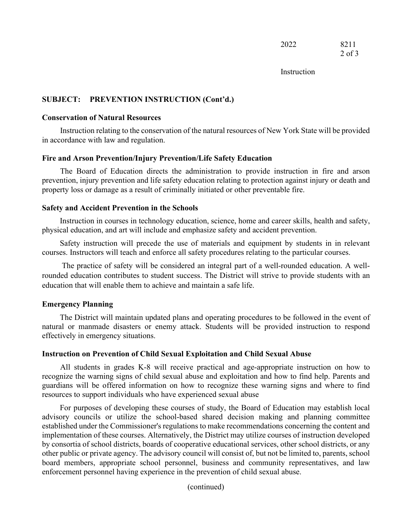| 2022 | 8211       |
|------|------------|
|      | $2$ of $3$ |

Instruction

# **SUBJECT: PREVENTION INSTRUCTION (Cont'd.)**

#### **Conservation of Natural Resources**

Instruction relating to the conservation of the natural resources of New York State will be provided in accordance with law and regulation.

# **Fire and Arson Prevention/Injury Prevention/Life Safety Education**

The Board of Education directs the administration to provide instruction in fire and arson prevention, injury prevention and life safety education relating to protection against injury or death and property loss or damage as a result of criminally initiated or other preventable fire.

#### **Safety and Accident Prevention in the Schools**

Instruction in courses in technology education, science, home and career skills, health and safety, physical education, and art will include and emphasize safety and accident prevention.

Safety instruction will precede the use of materials and equipment by students in in relevant courses. Instructors will teach and enforce all safety procedures relating to the particular courses.

The practice of safety will be considered an integral part of a well-rounded education. A wellrounded education contributes to student success. The District will strive to provide students with an education that will enable them to achieve and maintain a safe life.

## **Emergency Planning**

The District will maintain updated plans and operating procedures to be followed in the event of natural or manmade disasters or enemy attack. Students will be provided instruction to respond effectively in emergency situations.

#### **Instruction on Prevention of Child Sexual Exploitation and Child Sexual Abuse**

All students in grades K-8 will receive practical and age-appropriate instruction on how to recognize the warning signs of child sexual abuse and exploitation and how to find help. Parents and guardians will be offered information on how to recognize these warning signs and where to find resources to support individuals who have experienced sexual abuse

For purposes of developing these courses of study, the Board of Education may establish local advisory councils or utilize the school-based shared decision making and planning committee established under the Commissioner's regulations to make recommendations concerning the content and implementation of these courses. Alternatively, the District may utilize courses of instruction developed by consortia of school districts, boards of cooperative educational services, other school districts, or any other public or private agency. The advisory council will consist of, but not be limited to, parents, school board members, appropriate school personnel, business and community representatives, and law enforcement personnel having experience in the prevention of child sexual abuse.

(continued)